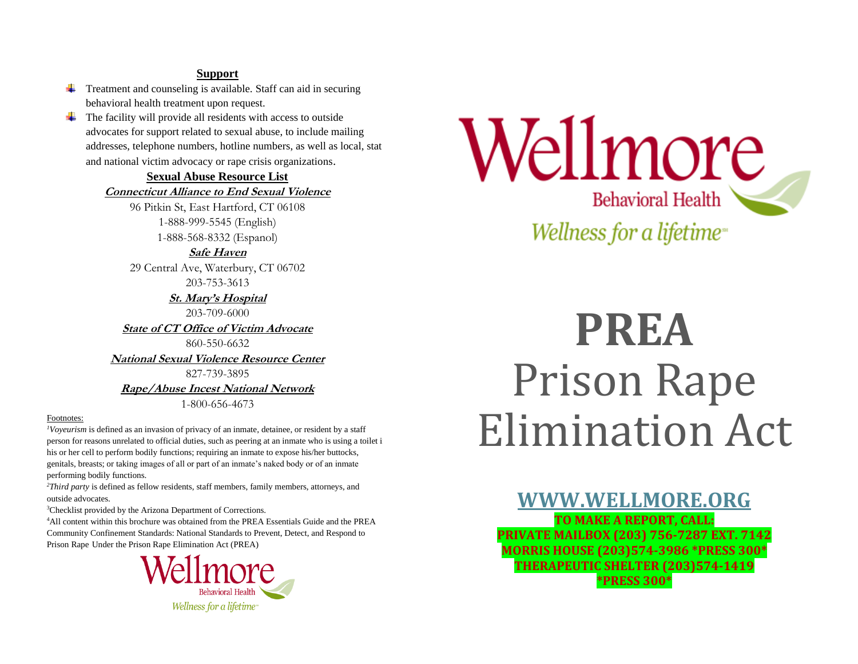#### **Support**

- $\overline{\phantom{a}}$  Treatment and counseling is available. Staff can aid in securing behavioral health treatment upon request.
- $\overline{\phantom{a}}$  The facility will provide all residents with access to outside advocates for support related to sexual abuse, to include mailing addresses, telephone numbers, hotline numbers, as well as local, stat and national victim advocacy or rape crisis organizations.

#### **Sexual Abuse Resource List**

**Connecticut Alliance to End Sexual Violence**

96 Pitkin St, East Hartford, CT 06108 1-888-999-5545 (English) 1-888-568-8332 (Espanol)

**Safe Haven**

29 Central Ave, Waterbury, CT 06702 203-753-3613

> **St. Mary's Hospital** 203-709-6000

**State of CT Office of Victim Advocate**

860-550-6632

**National Sexual Violence Resource Center**

827-739-3895 **Rape/Abuse Incest National Network**

1-800-656-4673

#### Footnotes:

*<sup>1</sup>Voyeurism* is defined as an invasion of privacy of an inmate, detainee, or resident by a staff person for reasons unrelated to official duties, such as peering at an inmate who is using a toilet i his or her cell to perform bodily functions; requiring an inmate to expose his/her buttocks, genitals, breasts; or taking images of all or part of an inmate's naked body or of an inmate performing bodily functions.

*<sup>2</sup>Third party* is defined as fellow residents, staff members, family members, attorneys, and outside advocates.

<sup>3</sup>Checklist provided by the Arizona Department of Corrections.

<sup>4</sup>All content within this brochure was obtained from the PREA Essentials Guide and the PREA Community Confinement Standards: National Standards to Prevent, Detect, and Respond to Prison Rape Under the Prison Rape Elimination Act (PREA)



Wellmore Behavioral Health Wellness for a lifetime<sup>®</sup>

# **PREA** Prison Rape Elimination Act

**[WWW.WELLMORE.ORG](http://www.wellmore.org/) TO MAKE A REPORT, CALL: PRIVATE MAILBOX (203) 756-7287 EXT. 7142 MORRIS HOUSE (203)574-3986 \*PRESS 300\* THERAPEUTIC SHELTER (203)574-1419 \*PRESS 300\***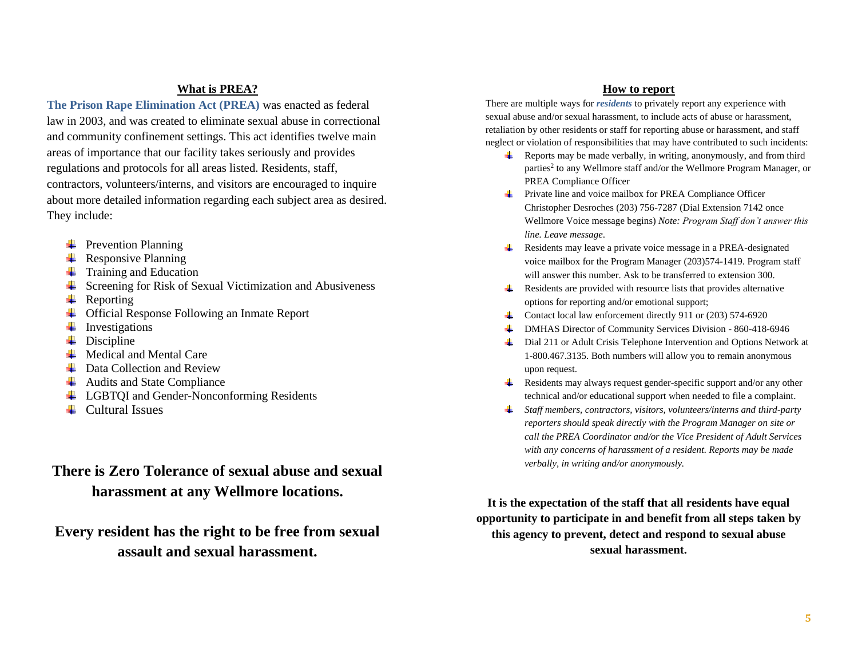#### **What is PREA?**

**The Prison Rape Elimination Act (PREA)** was enacted as federal law in 2003, and was created to eliminate sexual abuse in correctional and community confinement settings. This act identifies twelve main areas of importance that our facility takes seriously and provides regulations and protocols for all areas listed. Residents, staff, contractors, volunteers/interns, and visitors are encouraged to inquire about more detailed information regarding each subject area as desired. They include:

- $\downarrow$  Prevention Planning
- $\leftarrow$  Responsive Planning
- $\leftarrow$  Training and Education
- $\overline{\phantom{a}}$  Screening for Risk of Sexual Victimization and Abusiveness
- $\leftarrow$  Reporting
- **↓** Official Response Following an Inmate Report
- $\downarrow$  Investigations
- $\blacksquare$  Discipline
- $\overline{\phantom{a}}$  Medical and Mental Care
- $\overline{\phantom{a}}$  Data Collection and Review
- $\overline{\phantom{a}}$  Audits and State Compliance
- **↓** LGBTQI and Gender-Nonconforming Residents
- $\leftarrow$  Cultural Issues

### **There is Zero Tolerance of sexual abuse and sexual harassment at any Wellmore locations.**

**Every resident has the right to be free from sexual assault and sexual harassment.**

#### **How to report**

There are multiple ways for *residents* to privately report any experience with sexual abuse and/or sexual harassment, to include acts of abuse or harassment, retaliation by other residents or staff for reporting abuse or harassment, and staff neglect or violation of responsibilities that may have contributed to such incidents:

- $\overline{\mathbf{R}}$  Reports may be made verbally, in writing, anonymously, and from third parties<sup>2</sup> to any Wellmore staff and/or the Wellmore Program Manager, or PREA Compliance Officer
- Private line and voice mailbox for PREA Compliance Officer **Harry Commercial** Christopher Desroches (203) 756-7287 (Dial Extension 7142 once Wellmore Voice message begins) *Note: Program Staff don't answer this line. Leave message*.
- ₩., Residents may leave a private voice message in a PREA-designated voice mailbox for the Program Manager (203)574-1419. Program staff will answer this number. Ask to be transferred to extension 300.
- $\overline{\phantom{a}}$  Residents are provided with resource lists that provides alternative options for reporting and/or emotional support;
- Contact local law enforcement directly 911 or  $(203)$  574-6920
- DMHAS Director of Community Services Division 860-418-6946
- Dial 211 or Adult Crisis Telephone Intervention and Options Network at 1-800.467.3135. Both numbers will allow you to remain anonymous upon request.
- $\overline{\phantom{a}}$  Residents may always request gender-specific support and/or any other technical and/or educational support when needed to file a complaint.
- *Staff members, contractors, visitors, volunteers/interns and third-party reporters should speak directly with the Program Manager on site or call the PREA Coordinator and/or the Vice President of Adult Services with any concerns of harassment of a resident. Reports may be made verbally, in writing and/or anonymously.*

**It is the expectation of the staff that all residents have equal opportunity to participate in and benefit from all steps taken by this agency to prevent, detect and respond to sexual abuse sexual harassment.**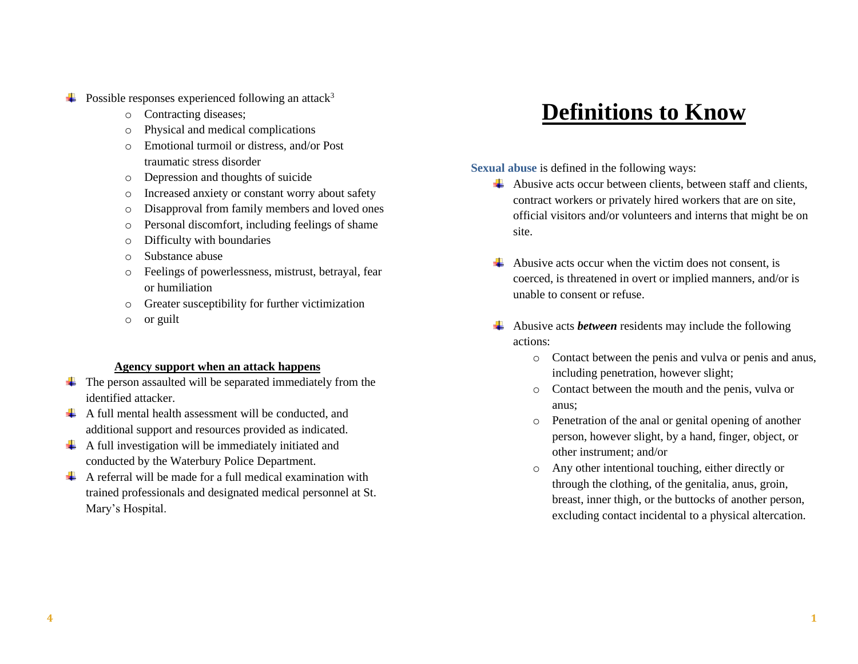$\div$  Possible responses experienced following an attack<sup>3</sup>

- o Contracting diseases;
- o Physical and medical complications
- o Emotional turmoil or distress, and/or Post traumatic stress disorder
- o Depression and thoughts of suicide
- o Increased anxiety or constant worry about safety
- o Disapproval from family members and loved ones
- o Personal discomfort, including feelings of shame
- o Difficulty with boundaries
- o Substance abuse
- o Feelings of powerlessness, mistrust, betrayal, fear or humiliation
- o Greater susceptibility for further victimization
- o or guilt

#### **Agency support when an attack happens**

- $\ddot{\phantom{1}}$  The person assaulted will be separated immediately from the identified attacker.
- $\overline{\text{A}}$  A full mental health assessment will be conducted, and additional support and resources provided as indicated.
- $\overline{\text{A}}$  A full investigation will be immediately initiated and conducted by the Waterbury Police Department.
- $\triangleq$  A referral will be made for a full medical examination with trained professionals and designated medical personnel at St. Mary's Hospital.

## **Definitions to Know**

**Sexual abuse** is defined in the following ways:

- $\overline{\phantom{a}}$  Abusive acts occur between clients, between staff and clients, contract workers or privately hired workers that are on site, official visitors and/or volunteers and interns that might be on site.
- $\overline{\phantom{a}}$  Abusive acts occur when the victim does not consent, is coerced, is threatened in overt or implied manners, and/or is unable to consent or refuse.
- Abusive acts *between* residents may include the following actions:
	- o Contact between the penis and vulva or penis and anus, including penetration, however slight;
	- o Contact between the mouth and the penis, vulva or anus;
	- o Penetration of the anal or genital opening of another person, however slight, by a hand, finger, object, or other instrument; and/or
	- o Any other intentional touching, either directly or through the clothing, of the genitalia, anus, groin, breast, inner thigh, or the buttocks of another person, excluding contact incidental to a physical altercation.